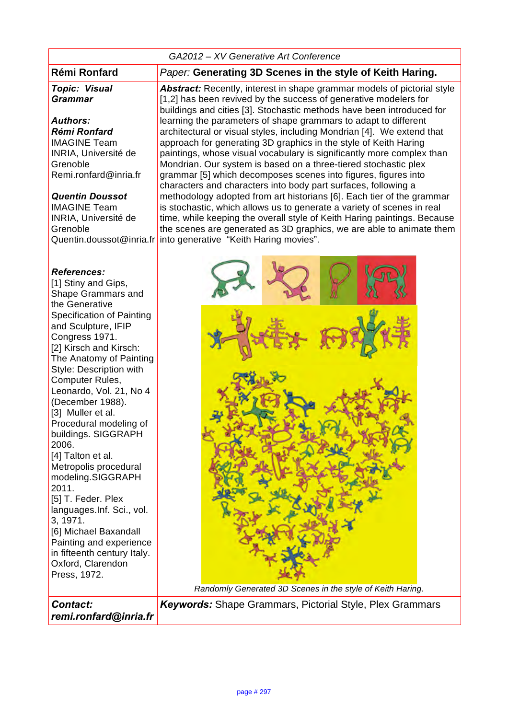| GA2012 - XV Generative Art Conference                                                                                                                                                                                                                                                                                                                                                                                                                                                                                                                                                                                                                              |                                                                                                                                                                                                                                                                                                                                                                                                                                                                                                                                                                                                                                                                                                                                                                                                                                                                                                                                                                                                                                                                               |
|--------------------------------------------------------------------------------------------------------------------------------------------------------------------------------------------------------------------------------------------------------------------------------------------------------------------------------------------------------------------------------------------------------------------------------------------------------------------------------------------------------------------------------------------------------------------------------------------------------------------------------------------------------------------|-------------------------------------------------------------------------------------------------------------------------------------------------------------------------------------------------------------------------------------------------------------------------------------------------------------------------------------------------------------------------------------------------------------------------------------------------------------------------------------------------------------------------------------------------------------------------------------------------------------------------------------------------------------------------------------------------------------------------------------------------------------------------------------------------------------------------------------------------------------------------------------------------------------------------------------------------------------------------------------------------------------------------------------------------------------------------------|
| <b>Rémi Ronfard</b>                                                                                                                                                                                                                                                                                                                                                                                                                                                                                                                                                                                                                                                | Paper: Generating 3D Scenes in the style of Keith Haring.                                                                                                                                                                                                                                                                                                                                                                                                                                                                                                                                                                                                                                                                                                                                                                                                                                                                                                                                                                                                                     |
| <b>Topic: Visual</b><br><b>Grammar</b><br><b>Authors:</b><br>Rémi Ronfard<br><b>IMAGINE Team</b><br>INRIA, Université de<br>Grenoble<br>Remi.ronfard@inria.fr<br><b>Quentin Doussot</b><br><b>IMAGINE Team</b><br>INRIA, Université de<br>Grenoble<br>Quentin.doussot@inria.fr                                                                                                                                                                                                                                                                                                                                                                                     | <b>Abstract:</b> Recently, interest in shape grammar models of pictorial style<br>[1,2] has been revived by the success of generative modelers for<br>buildings and cities [3]. Stochastic methods have been introduced for<br>learning the parameters of shape grammars to adapt to different<br>architectural or visual styles, including Mondrian [4]. We extend that<br>approach for generating 3D graphics in the style of Keith Haring<br>paintings, whose visual vocabulary is significantly more complex than<br>Mondrian. Our system is based on a three-tiered stochastic plex<br>grammar [5] which decomposes scenes into figures, figures into<br>characters and characters into body part surfaces, following a<br>methodology adopted from art historians [6]. Each tier of the grammar<br>is stochastic, which allows us to generate a variety of scenes in real<br>time, while keeping the overall style of Keith Haring paintings. Because<br>the scenes are generated as 3D graphics, we are able to animate them<br>into generative "Keith Haring movies". |
| <b>References:</b><br>[1] Stiny and Gips,<br>Shape Grammars and<br>the Generative<br><b>Specification of Painting</b><br>and Sculpture, IFIP<br>Congress 1971.<br>[2] Kirsch and Kirsch:<br>The Anatomy of Painting<br>Style: Description with<br>Computer Rules,<br>Leonardo, Vol. 21, No 4<br>(December 1988).<br>[3] Muller et al.<br>Procedural modeling of<br>buildings. SIGGRAPH<br>2006.<br>[4] Talton et al.<br>Metropolis procedural<br>modeling.SIGGRAPH<br>2011.<br>[5] T. Feder. Plex<br>languages.Inf. Sci., vol.<br>3, 1971.<br>[6] Michael Baxandall<br>Painting and experience<br>in fifteenth century Italy.<br>Oxford, Clarendon<br>Press, 1972. | Randomly Generated 3D Scenes in the style of Keith Haring.                                                                                                                                                                                                                                                                                                                                                                                                                                                                                                                                                                                                                                                                                                                                                                                                                                                                                                                                                                                                                    |
| Contact:<br>remi.ronfard@inria.fr                                                                                                                                                                                                                                                                                                                                                                                                                                                                                                                                                                                                                                  | <b>Keywords:</b> Shape Grammars, Pictorial Style, Plex Grammars                                                                                                                                                                                                                                                                                                                                                                                                                                                                                                                                                                                                                                                                                                                                                                                                                                                                                                                                                                                                               |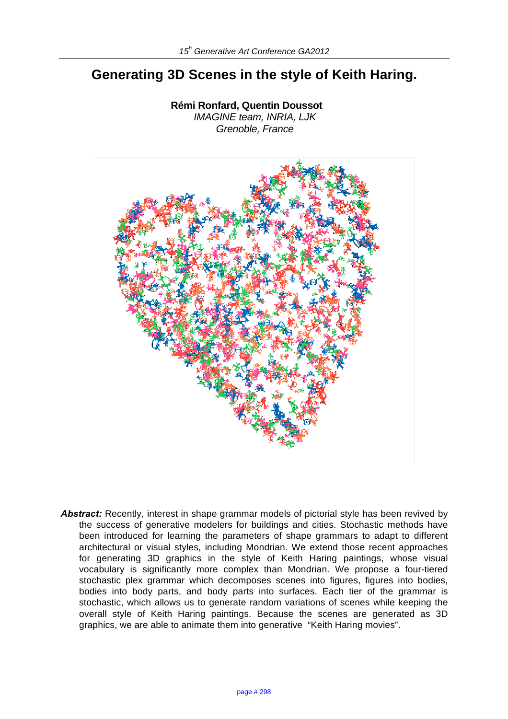# **Generating 3D Scenes in the style of Keith Haring.**

**Rémi Ronfard, Quentin Doussot** *IMAGINE team, INRIA, LJK Grenoble, France*



Abstract: Recently, interest in shape grammar models of pictorial style has been revived by the success of generative modelers for buildings and cities. Stochastic methods have been introduced for learning the parameters of shape grammars to adapt to different architectural or visual styles, including Mondrian. We extend those recent approaches for generating 3D graphics in the style of Keith Haring paintings, whose visual vocabulary is significantly more complex than Mondrian. We propose a four-tiered stochastic plex grammar which decomposes scenes into figures, figures into bodies, bodies into body parts, and body parts into surfaces. Each tier of the grammar is stochastic, which allows us to generate random variations of scenes while keeping the overall style of Keith Haring paintings. Because the scenes are generated as 3D graphics, we are able to animate them into generative "Keith Haring movies".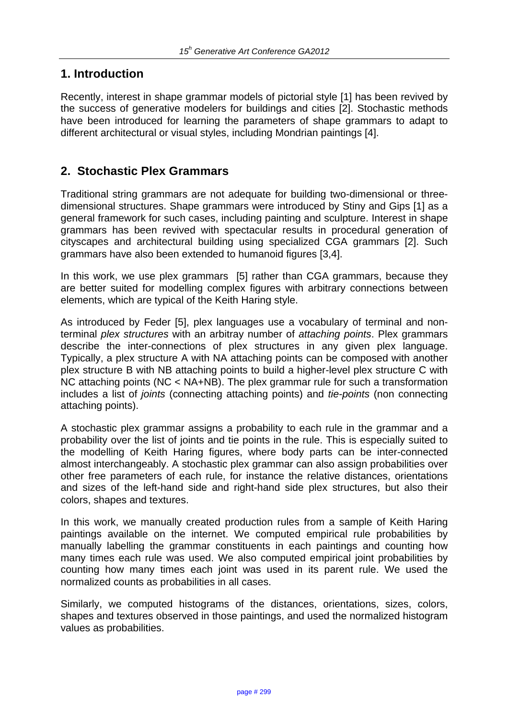# **1. Introduction**

Recently, interest in shape grammar models of pictorial style [1] has been revived by the success of generative modelers for buildings and cities [2]. Stochastic methods have been introduced for learning the parameters of shape grammars to adapt to different architectural or visual styles, including Mondrian paintings [4].

# **2. Stochastic Plex Grammars**

Traditional string grammars are not adequate for building two-dimensional or threedimensional structures. Shape grammars were introduced by Stiny and Gips [1] as a general framework for such cases, including painting and sculpture. Interest in shape grammars has been revived with spectacular results in procedural generation of cityscapes and architectural building using specialized CGA grammars [2]. Such grammars have also been extended to humanoid figures [3,4].

In this work, we use plex grammars [5] rather than CGA grammars, because they are better suited for modelling complex figures with arbitrary connections between elements, which are typical of the Keith Haring style.

As introduced by Feder [5], plex languages use a vocabulary of terminal and nonterminal *plex structures* with an arbitray number of *attaching points*. Plex grammars describe the inter-connections of plex structures in any given plex language. Typically, a plex structure A with NA attaching points can be composed with another plex structure B with NB attaching points to build a higher-level plex structure C with NC attaching points (NC < NA+NB). The plex grammar rule for such a transformation includes a list of *joints* (connecting attaching points) and *tie-points* (non connecting attaching points).

A stochastic plex grammar assigns a probability to each rule in the grammar and a probability over the list of joints and tie points in the rule. This is especially suited to the modelling of Keith Haring figures, where body parts can be inter-connected almost interchangeably. A stochastic plex grammar can also assign probabilities over other free parameters of each rule, for instance the relative distances, orientations and sizes of the left-hand side and right-hand side plex structures, but also their colors, shapes and textures.

In this work, we manually created production rules from a sample of Keith Haring paintings available on the internet. We computed empirical rule probabilities by manually labelling the grammar constituents in each paintings and counting how many times each rule was used. We also computed empirical joint probabilities by counting how many times each joint was used in its parent rule. We used the normalized counts as probabilities in all cases.

Similarly, we computed histograms of the distances, orientations, sizes, colors, shapes and textures observed in those paintings, and used the normalized histogram values as probabilities.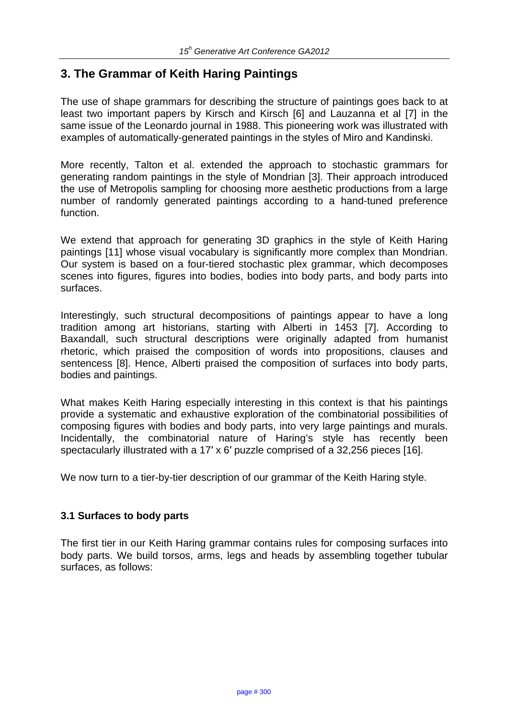# **3. The Grammar of Keith Haring Paintings**

The use of shape grammars for describing the structure of paintings goes back to at least two important papers by Kirsch and Kirsch [6] and Lauzanna et al [7] in the same issue of the Leonardo journal in 1988. This pioneering work was illustrated with examples of automatically-generated paintings in the styles of Miro and Kandinski.

More recently, Talton et al. extended the approach to stochastic grammars for generating random paintings in the style of Mondrian [3]. Their approach introduced the use of Metropolis sampling for choosing more aesthetic productions from a large number of randomly generated paintings according to a hand-tuned preference function.

We extend that approach for generating 3D graphics in the style of Keith Haring paintings [11] whose visual vocabulary is significantly more complex than Mondrian. Our system is based on a four-tiered stochastic plex grammar, which decomposes scenes into figures, figures into bodies, bodies into body parts, and body parts into surfaces.

Interestingly, such structural decompositions of paintings appear to have a long tradition among art historians, starting with Alberti in 1453 [7]. According to Baxandall, such structural descriptions were originally adapted from humanist rhetoric, which praised the composition of words into propositions, clauses and sentencess [8]. Hence, Alberti praised the composition of surfaces into body parts, bodies and paintings.

What makes Keith Haring especially interesting in this context is that his paintings provide a systematic and exhaustive exploration of the combinatorial possibilities of composing figures with bodies and body parts, into very large paintings and murals. Incidentally, the combinatorial nature of Haring's style has recently been spectacularly illustrated with a 17′ x 6′ puzzle comprised of a 32,256 pieces [16].

We now turn to a tier-by-tier description of our grammar of the Keith Haring style.

#### **3.1 Surfaces to body parts**

The first tier in our Keith Haring grammar contains rules for composing surfaces into body parts. We build torsos, arms, legs and heads by assembling together tubular surfaces, as follows: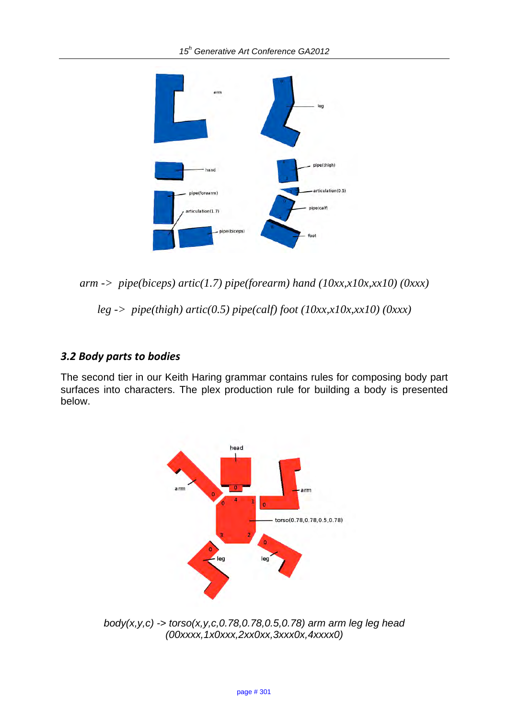

*arm -> pipe(biceps) artic(1.7) pipe(forearm) hand (10xx,x10x,xx10) (0xxx)*

*leg -> pipe(thigh) artic(0.5) pipe(calf) foot (10xx,x10x,xx10) (0xxx)*

### 3.2 Body parts to bodies

The second tier in our Keith Haring grammar contains rules for composing body part surfaces into characters. The plex production rule for building a body is presented below.



*body(x,y,c) -> torso(x,y,c,0.78,0.78,0.5,0.78) arm arm leg leg head (00xxxx,1x0xxx,2xx0xx,3xxx0x,4xxxx0)*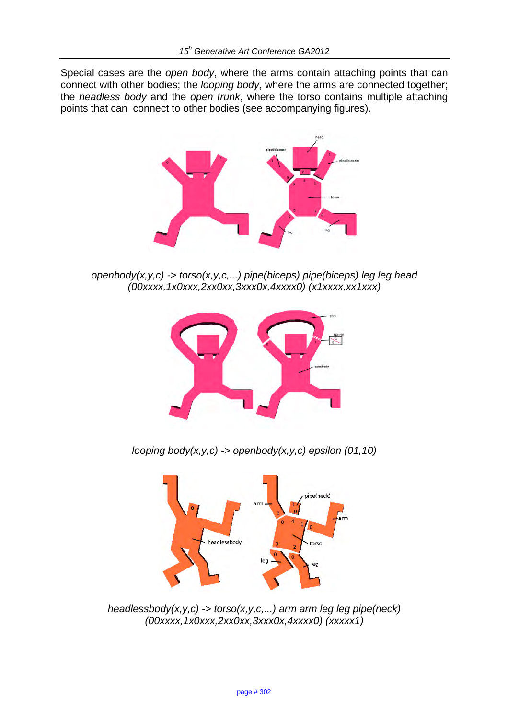Special cases are the *open body*, where the arms contain attaching points that can connect with other bodies; the *looping body*, where the arms are connected together; the *headless body* and the *open trunk*, where the torso contains multiple attaching points that can connect to other bodies (see accompanying figures).



*openbody(x,y,c) -> torso(x,y,c,...) pipe(biceps) pipe(biceps) leg leg head (00xxxx,1x0xxx,2xx0xx,3xxx0x,4xxxx0) (x1xxxx,xx1xxx)* 



*looping body(x,y,c) -> openbody(x,y,c) epsilon (01,10)* 



*headlessbody(x,y,c) -> torso(x,y,c,...) arm arm leg leg pipe(neck) (00xxxx,1x0xxx,2xx0xx,3xxx0x,4xxxx0) (xxxxx1)*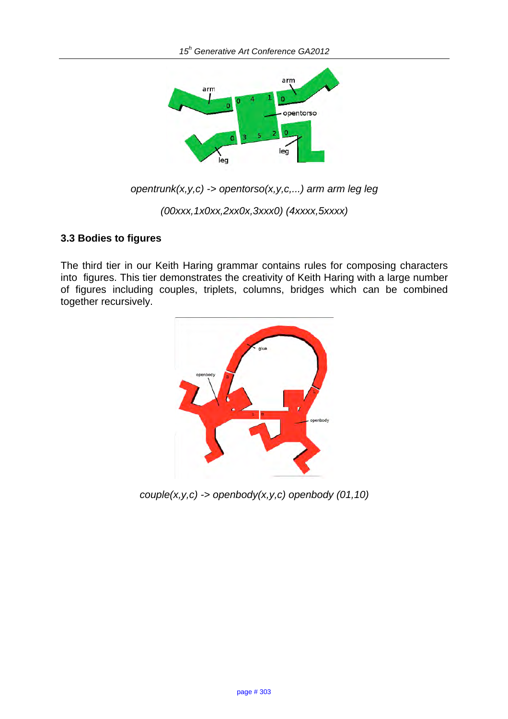

*opentrunk(x,y,c) -> opentorso(x,y,c,...) arm arm leg leg* 

*(00xxx,1x0xx,2xx0x,3xxx0) (4xxxx,5xxxx)* 

#### **3.3 Bodies to figures**

The third tier in our Keith Haring grammar contains rules for composing characters into figures. This tier demonstrates the creativity of Keith Haring with a large number of figures including couples, triplets, columns, bridges which can be combined together recursively.



*couple(x,y,c) -> openbody(x,y,c) openbody (01,10)*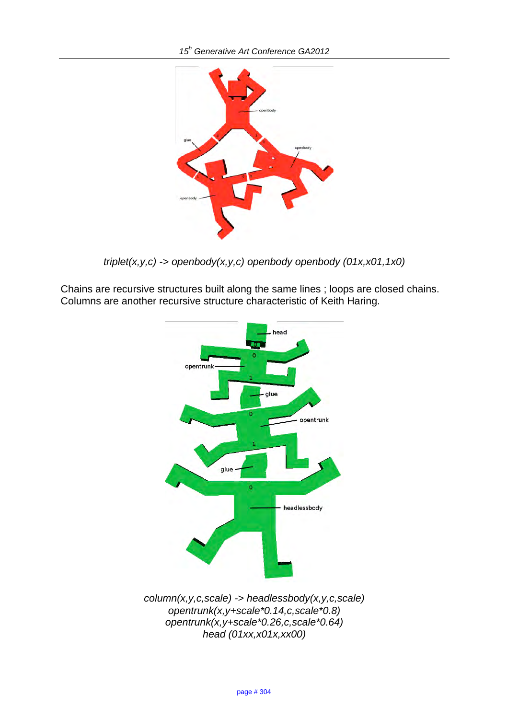

*triplet(x,y,c) -> openbody(x,y,c) openbody openbody (01x,x01,1x0)* 

Chains are recursive structures built along the same lines ; loops are closed chains. Columns are another recursive structure characteristic of Keith Haring.



*opentrunk(x,y+scale\*0.14,c,scale\*0.8) opentrunk(x,y+scale\*0.26,c,scale\*0.64) head (01xx,x01x,xx00)*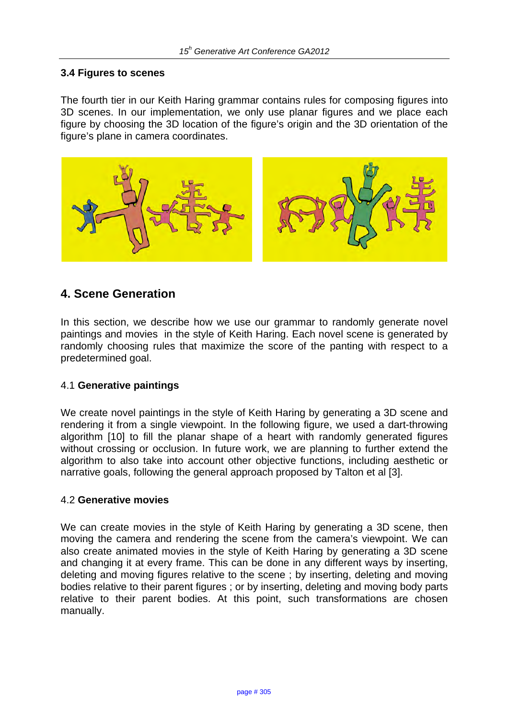#### **3.4 Figures to scenes**

The fourth tier in our Keith Haring grammar contains rules for composing figures into 3D scenes. In our implementation, we only use planar figures and we place each figure by choosing the 3D location of the figure's origin and the 3D orientation of the figure's plane in camera coordinates.



# **4. Scene Generation**

In this section, we describe how we use our grammar to randomly generate novel paintings and movies in the style of Keith Haring. Each novel scene is generated by randomly choosing rules that maximize the score of the panting with respect to a predetermined goal.

#### 4.1 **Generative paintings**

We create novel paintings in the style of Keith Haring by generating a 3D scene and rendering it from a single viewpoint. In the following figure, we used a dart-throwing algorithm [10] to fill the planar shape of a heart with randomly generated figures without crossing or occlusion. In future work, we are planning to further extend the algorithm to also take into account other objective functions, including aesthetic or narrative goals, following the general approach proposed by Talton et al [3].

#### 4.2 **Generative movies**

We can create movies in the style of Keith Haring by generating a 3D scene, then moving the camera and rendering the scene from the camera's viewpoint. We can also create animated movies in the style of Keith Haring by generating a 3D scene and changing it at every frame. This can be done in any different ways by inserting, deleting and moving figures relative to the scene ; by inserting, deleting and moving bodies relative to their parent figures ; or by inserting, deleting and moving body parts relative to their parent bodies. At this point, such transformations are chosen manually.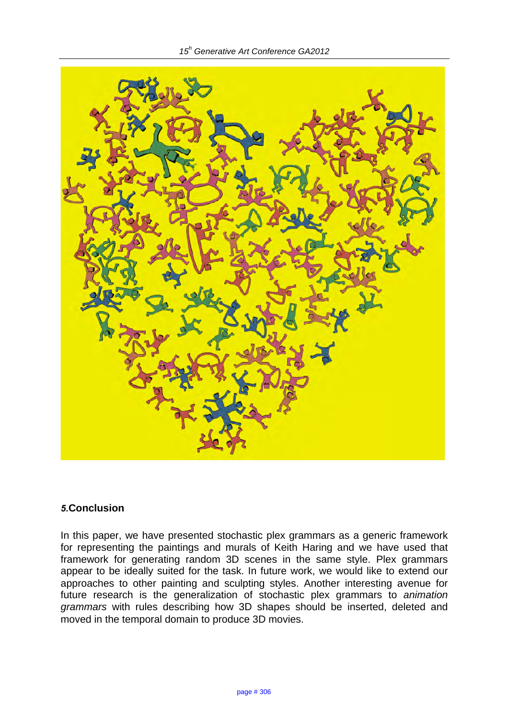

#### *5.***Conclusion**

In this paper, we have presented stochastic plex grammars as a generic framework for representing the paintings and murals of Keith Haring and we have used that framework for generating random 3D scenes in the same style. Plex grammars appear to be ideally suited for the task. In future work, we would like to extend our approaches to other painting and sculpting styles. Another interesting avenue for future research is the generalization of stochastic plex grammars to *animation grammars* with rules describing how 3D shapes should be inserted, deleted and moved in the temporal domain to produce 3D movies.